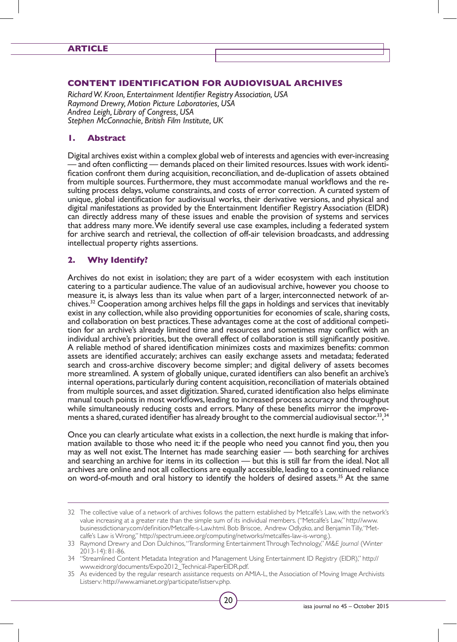#### **Article**

#### **Content Identification for Audiovisual Archives**

*Richard W. Kroon, Entertainment Identifier Registry Association, USA Raymond Drewry, Motion Picture Laboratories, USA Andrea Leigh, Library of Congress, USA Stephen McConnachie, British Film Institute, UK*

#### **1. Abstract**

Digital archives exist within a complex global web of interests and agencies with ever-increasing — and often conflicting — demands placed on their limited resources. Issues with work identi-<br>fication confront them during acquisition, reconciliation, and de-duplication of assets obtained<br>from multiple sources. Furtherm sulting process delays, volume constraints, and costs of error correction. A curated system of unique, global identification for audiovisual works, their derivative versions, and physical and digital manifestations as provided by the Entertainment Identifier Registry Association (EIDR) can directly address many of these issues and enable the provision of systems and services that address many more. We identify several use case examples, including a federated system for archive search and retrieval, the collection of off-air television broadcasts, and addressing intellectual property rights assertions.

## **2. Why Identify?**

Archives do not exist in isolation; they are part of a wider ecosystem with each institution catering to a particular audience. The value of an audiovisual archive, however you choose to measure it, is always less than its value when part of a larger, interconnected network of archives.32 Cooperation among archives helps fill the gaps in holdings and services that inevitably exist in any collection, while also providing opportunities for economies of scale, sharing costs, and collaboration on best practices. These advantages come at the cost of additional competition for an archive's already limited time and resources and sometimes may conflict with an individual archive's priorities, but the overall effect of collaboration is still significantly positive. A reliable method of shared identification minimizes costs and maximizes benefits: common assets are identified accurately; archives can easily exchange assets and metadata; federated search and cross-archive discovery become simpler; and digital delivery of assets becomes more streamlined. A system of globally unique, curated identifiers can also benefit an archive's internal operations, particularly during content acquisition, reconciliation of materials obtained from multiple sources, and asset digitization. Shared, curated identification also helps eliminate manual touch points in most workflows, leading to increased process accuracy and throughput while simultaneously reducing costs and errors. Many of these benefits mirror the improvements a shared, curated identifier has already brought to the commercial audiovisual sector.<sup>33</sup>,<sup>34</sup>

Once you can clearly articulate what exists in a collection, the next hurdle is making that information available to those who need it: if the people who need you cannot find you, then you may as well not exist. The Internet has made searching easier — both searching for archives and searching an archive for items in its collection — but this is still far from the ideal. Not all archives are online and not all collections are equally accessible, leading to a continued reliance on word-of-mouth and oral history to identify the holders of desired assets.<sup>35</sup> At the same

<sup>32</sup> The collective value of a network of archives follows the pattern established by Metcalfe's Law, with the network's value increasing at a greater rate than the simple sum of its individual members. ("Metcalfe's Law," http://www. businessdictionary.com/definition/Metcalfe-s-Law.html. Bob Briscoe, Andrew Odlyzko, and BenjaminTilly,"Metcalfe's Law is Wrong," http://spectrum.ieee.org/computing/networks/metcalfes-law-is-wrong.).

<sup>33</sup> Raymond Drewry and Don Dulchinos, "Transforming Entertainment Through Technology," *M&E Journal* (Winter 2013-14): 81-86.

<sup>34</sup> "Streamlined Content Metadata Integration and Management Using Entertainment ID Registry (EIDR)," http:// www.eidr.org/documents/Expo2012\_Technical-PaperEIDR.pdf.

<sup>35</sup> As evidenced by the regular research assistance requests on AMIA-L, the Association of Moving Image Archivists Listserv: http://www.amianet.org/par ticipate/listserv.php.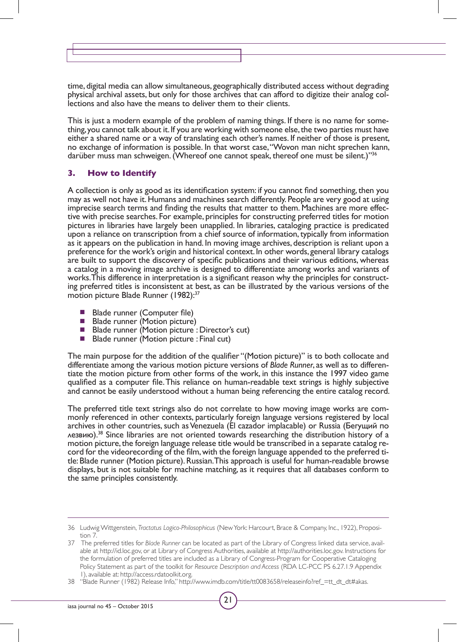time, digital media can allow simultaneous, geographically distributed access without degrading physical archival assets, but only for those archives that can afford to digitize their analog collections and also have the means to deliver them to their clients.

This is just a modern example of the problem of naming things. If there is no name for something, you cannot talk about it. If you are working with someone else, the two parties must have either a shared name or a way of translating each other's names. If neither of those is present, no exchange of information is possible. In that worst case, "Wovon man nicht sprechen kann, darüber muss man schweigen. (Whereof one cannot speak, thereof one must be silent.)"<sup>36</sup>

## **3. How to Identify**

A collection is only as good as its identification system: if you cannot find something, then you may as well not have it. Humans and machines search differently. People are very good at using imprecise search terms and finding the results that matter to them. Machines are more effective with precise searches. For example, principles for constructing preferred titles for motion pictures in libraries have largely been unapplied. In libraries, cataloging practice is predicated upon a reliance on transcription from a chief source of information, typically from information as it appears on the publication in hand. In moving image archives, description is reliant upon a preference for the work's origin and historical context. In other words, general library catalogs are built to support the discovery of specific publications and their various editions, whereas a catalog in a moving image archive is designed to differentiate among works and variants of works. This difference in interpretation is a significant reason why the principles for constructing preferred titles is inconsistent at best, as can be illustrated by the various versions of the motion picture Blade Runner (1982):<sup>37</sup>

- Blade runner (Computer file)<br>■ Blade runner (Motion picture)
- **Blade runner (Motion picture)**
- Blade runner (Motion picture : Director's cut)
- Blade runner (Motion picture : Final cut)

The main purpose for the addition of the qualifier "(Motion picture)" is to both collocate and differentiate among the various motion picture versions of *Blade Runner*, as well as to differentiate the motion picture from other forms of the work, in this instance the 1997 video game qualified as a computer file. This reliance on human-readable text strings is highly subjective and cannot be easily understood without a human being referencing the entire catalog record.

The preferred title text strings also do not correlate to how moving image works are commonly referenced in other contexts, particularly foreign language versions registered by local archives in other countries, such as Venezuela (El cazador implacable) or Russia (Бегущий по лезвию).38 Since libraries are not oriented towards researching the distribution history of a motion picture, the foreign language release title would be transcribed in a separate catalog record for the videorecording of the film, with the foreign language appended to the preferred title: Blade runner (Motion picture). Russian. This approach is useful for human-readable browse displays, but is not suitable for machine matching, as it requires that all databases conform to the same principles consistently.

<sup>36</sup> Ludwig Wittgenstein, *Tractatus Logico-Philosophicus* (NewYork: Harcour t, Brace & Company, Inc., 1922), Proposition 7.

<sup>37</sup> The preferred titles for *Blade Runner* can be located as part of the Library of Congress linked data service, available at http://id.loc.gov, or at Library of Congress Authorities, available at http://authorities.loc.gov. Instructions for the formulation of preferred titles are included as a Library of Congress-Program for Cooperative Cataloging Policy Statement as part of the toolkit for *Resource Description and Access* (RDA LC-PCC PS 6.27.1.9 Appendix 1), available at: http://access.rdatoolkit.org.

<sup>38</sup> "Blade Runner (1982) Release Info," http://www.imdb.com/title/tt0083658/releaseinfo?ref\_=tt\_dt\_dt#akas.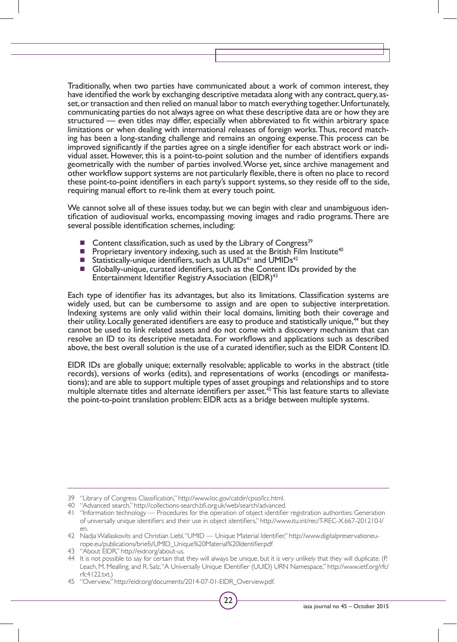Traditionally, when two parties have communicated about a work of common interest, they have identified the work by exchanging descriptive metadata along with any contract, query, asset, or transaction and then relied on manual labor to match everything together. Unfortunately, communicating parties do not always agree on what these descriptive data are or how they are structured — even titles may differ, especially when abbreviated to fit within arbitrary space limitations or when dealing with international releases of foreign works. Thus, record matching has been a long-standing challenge and remains an ongoing expense. This process can be improved significantly if the parties agree on a single identifier for each abstract work or individual asset. However, this is a point-to-point solution and the number of identifiers expands geometrically with the number of parties involved. Worse yet, since archive management and other workflow support systems are not particularly flexible, there is often no place to record these point-to-point identifiers in each party's support systems, so they reside off to the side, requiring manual effort to re-link them at every touch point.

We cannot solve all of these issues today, but we can begin with clear and unambiguous identification of audiovisual works, encompassing moving images and radio programs. There are several possible identification schemes, including:

- Content classification, such as used by the Library of Congress<sup>39</sup>
- Proprietary inventory indexing, such as used at the British Film Institute<sup>40</sup><br>■ Statistically-unique identifiers, such as UUIDs<sup>41</sup> and UMIDs<sup>42</sup>
- Statistically-unique identifiers, such as UUIDs<sup>41</sup> and UMIDs<sup>42</sup>
- Globally-unique, curated identifiers, such as the Content IDs provided by the Entertainment Identifier Registry Association (EIDR)<sup>43</sup>

Each type of identifier has its advantages, but also its limitations. Classification systems are widely used, but can be cumbersome to assign and are open to subjective interpretation. Indexing systems are only valid within their local domains, limiting both their coverage and their utility. Locally generated identifiers are easy to produce and statistically unique,<sup>44</sup> but they cannot be used to link related assets and do not come with a discovery mechanism that can resolve an ID to its descriptive metadata. For workflows and applications such as described above, the best overall solution is the use of a curated identifier, such as the EIDR Content ID.

EIDR IDs are globally unique; externally resolvable; applicable to works in the abstract (title records), versions of works (edits), and representations of works (encodings or manifestations); and are able to support multiple types of asset groupings and relationships and to store multiple alternate titles and alternate identifiers per asset.<sup>45</sup> This last feature starts to alleviate the point-to-point translation problem: EIDR acts as a bridge between multiple systems.

<sup>39</sup> "Library of Congress Classification," http://www.loc.gov/catdir/cpso/lcc.html.

<sup>40</sup> "Advanced search," http://collections-search.bfi.org.uk/web/search/advanced.

<sup>41</sup> "Information technology — Procedures for the operation of object identifier registration authorities: Generation of universally unique identifiers and their use in object identifiers," http://www.itu.int/rec/T-REC-X.667-201210-I/ en.

<sup>42</sup> Nadja Wallaskovits and Christian Liebl,"UMID — Unique Material Identifier," http://www.digitalpreservationeurope.eu/publications/briefs/UMID\_Unique%20Material%20Identifier.pdf

<sup>43</sup> "About EIDR," http://eidr.org/about-us.

<sup>44</sup> It is not possible to say for certain that they will always be unique, but it is very unlikely that they will duplicate. (P. Leach, M. Mealling, and R. Salz,"A Universally Unique IDentifier (UUID) URN Namespace," http://www.ietf.org/rfc/ rfc4122.txt.)

<sup>45</sup> "Overview," http://eidr.org/documents/2014-07-01-EIDR\_Overview.pdf.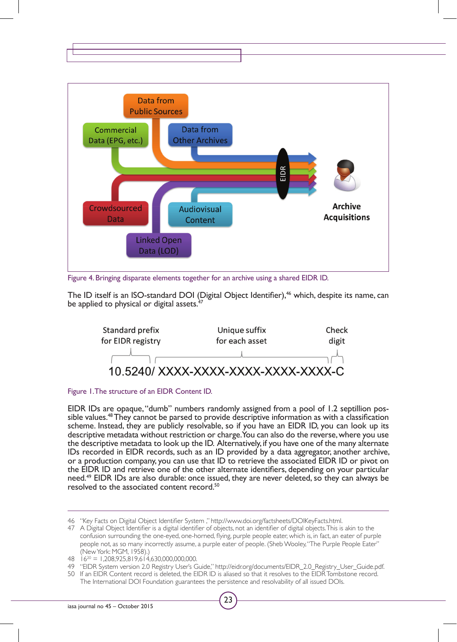

Figure 4. Bringing disparate elements together for an archive using a shared EIDR ID.

The ID itself is an ISO-standard DOI (Digital Object Identifier),<sup>46</sup> which, despite its name, can be applied to physical or digital assets. $4<sup>7</sup>$ 



#### Figure 1. The structure of an EIDR Content ID.

EIDR IDs are opaque, "dumb" numbers randomly assigned from a pool of 1.2 septillion possible values.<sup>48</sup> They cannot be parsed to provide descriptive information as with a classification scheme. Instead, they are publicly resolvable, so if you have an EIDR ID, you can look up its descriptive metadata without restriction or charge. You can also do the reverse, where you use the descriptive metadata to look up the ID. Alternatively, if you have one of the many alternate IDs recorded in EIDR records, such as an ID provided by a data aggregator, another archive, or a production company, you can use that ID to retrieve the associated EIDR ID or pivot on the EIDR ID and retrieve one of the other alternate identifiers, depending on your particular need.49 EIDR IDs are also durable: once issued, they are never deleted, so they can always be resolved to the associated content record.50

<sup>46</sup> "Key Facts on Digital Object Identifier System ," http://www.doi.org/factsheets/DOIKeyFacts.html.

<sup>47</sup> A Digital Object Identifier is a digital identifier of objects, not an identifier of digital objects. This is akin to the confusion surrounding the one-eyed, one-horned, flying, purple people eater, which is, in fact, an eater of purple people not, as so many incorrectly assume, a purple eater of people. (Sheb Wooley, "The Purple People Eater" (NewYork: MGM, 1958).)

 $48 \text{ i}6^{20} = 1,208,925,819,614,630,000,000,000.$ 

<sup>49</sup> "EIDR System version 2.0 Registry User's Guide," http://eidr.org/documents/EIDR\_2.0\_Registry\_User\_Guide.pdf.

<sup>50</sup> If an EIDR Content record is deleted, the EIDR ID is aliased so that it resolves to the EIDR Tombstone record. The International DOI Foundation guarantees the persistence and resolvability of all issued DOIs.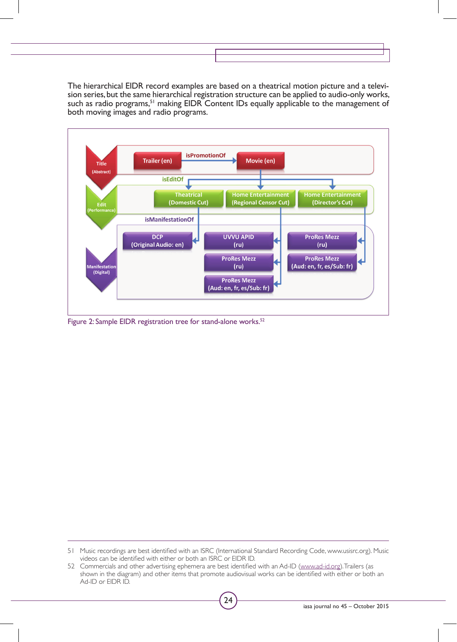The hierarchical EIDR record examples are based on a theatrical motion picture and a television series, but the same hierarchical registration structure can be applied to audio-only works, such as radio programs,<sup>51</sup> making EIDR Content IDs equally applicable to the management of both moving images and radio programs.



Figure 2: Sample EIDR registration tree for stand-alone works.<sup>52</sup>

51 Music recordings are best identified with an ISRC (International Standard Recording Code, www.usisrc.org). Music videos can be identified with either or both an ISRC or EIDR ID.

<sup>52</sup> Commercials and other advertising ephemera are best identified with an Ad-ID (www.ad-id.org). Trailers (as shown in the diagram) and other items that promote audiovisual works can be identified with either or both an Ad-ID or EIDR ID.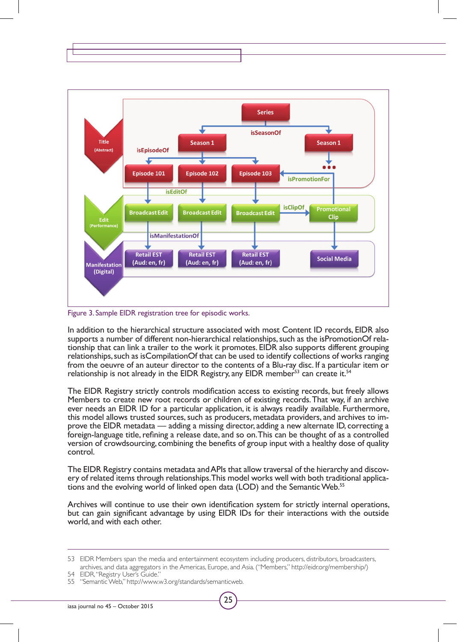

Figure 3. Sample EIDR registration tree for episodic works.

In addition to the hierarchical structure associated with most Content ID records, EIDR also supports a number of different non-hierarchical relationships, such as the isPromotionOf relationship that can link a trailer to the work it promotes. EIDR also supports different grouping relationships, such as isCompilationOf that can be used to identify collections of works ranging from the oeuvre of an auteur director to the contents of a Blu-ray disc. If a particular item or relationship is not already in the EIDR Registry, any EIDR member<sup>53</sup> can create it.<sup>54</sup>

The EIDR Registry strictly controls modification access to existing records, but freely allows Members to create new root records or children of existing records. That way, if an archive ever needs an EIDR ID for a particular application, it is always readily available. Furthermore, this model allows trusted sources, such as producers, metadata providers, and archives to improve the EIDR metadata — adding a missing director, adding a new alternate ID, correcting a foreign-language title, refining a release date, and so on. This can be thought of as a controlled version of crowdsourcing, combining the benefits of group input with a healthy dose of quality control.

The EIDR Registry contains metadata and APIs that allow traversal of the hierarchy and discovery of related items through relationships. This model works well with both traditional applications and the evolving world of li

Archives will continue to use their own identification system for strictly internal operations, but can gain significant advantage by using EIDR IDs for their interactions with the outside world, and with each other.



<sup>53</sup> EIDR Members span the media and entertainment ecosystem including producers, distributors, broadcasters, archives, and data aggregators in the Americas, Europe, and Asia. ("Members," http://eidr.org/membership/)

<sup>54</sup> EIDR, "Registry User's Guide."

<sup>55</sup> "Semantic Web," http://www.w3.org/standards/semanticweb.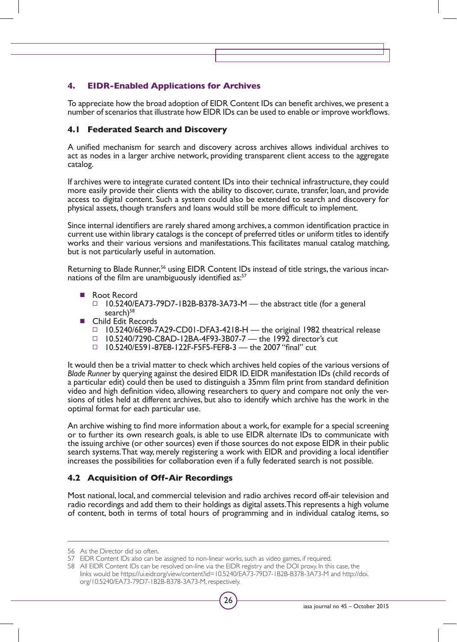# **4. EIDR-Enabled Applications for Archives**

To appreciate how the broad adoption of EIDR Content IDs can benefit archives, we present a number of scenarios that illustrate how EIDR IDs can be used to enable or improve workflows.

## **4.1 Federated Search and Discovery**

A unified mechanism for search and discovery across archives allows individual archives to act as nodes in a larger archive network, providing transparent client access to the aggregate catalog.

If archives were to integrate curated content IDs into their technical infrastructure, they could more easily provide their clients with the ability to discover, curate, transfer, loan, and provide access to digital content. Such a system could also be extended to search and discovery for physical assets, though transfers and loans would still be more difficult to implement.

Since internal identifiers are rarely shared among archives, a common identification practice in current use within library catalogs is the concept of preferred titles or uniform titles to identify works and their various versions and manifestations. This facilitates manual catalog matching, but is not particularly useful in automation.

Returning to Blade Runner,<sup>56</sup> using EIDR Content IDs instead of title strings, the various incarnations of the film are unambiguously identified as:<sup>57</sup>

- Root Record □ 10.5240/EA73-79D7-1B2B-B378-3A73-M — the abstract title (for a general search)<sup>58</sup>
- Child Edit Records
	- □ 10.5240/6E98-7A29-CD01-DFA3-4218-H the original 1982 theatrical release
	- □ 10.5240/7290-C8AD-12BA-4F93-3B07-7 the 1992 director's cut
	- 10.5240/E591-87E8-122F-F5F5-FEF8-3 the 2007 "final" cut

It would then be a trivial matter to check which archives held copies of the various versions of *Blade Runner* by querying against the desired EIDR ID. EIDR manifestation IDs (child records of a particular edit) could then be used to distinguish a 35mm film print from standard definition video and high definition video, allowing researchers to query and compare not only the versions of titles held at different archives, but also to identify which archive has the work in the optimal format for each particular use.

An archive wishing to find more information about a work, for example for a special screening or to further its own research goals, is able to use EIDR alternate IDs to communicate with the issuing archive (or other sources) even if those sources do not expose EIDR in their public search systems. That way, merely registering a work with EIDR and providing a local identifier increases the possibilities for collaboration even if a fully federated search is not possible.

## **4.2 Acquisition of Off-Air Recordings**

Most national, local, and commercial television and radio archives record off-air television and radio recordings and add them to their holdings as digital assets. This represents a high volume of content, both in terms of total hours of programming and in individual catalog items, so

<sup>56</sup> As the Director did so often.

<sup>57</sup> EIDR Content IDs also can be assigned to non-linear works, such as video games, if required.

<sup>58</sup> All EIDR Content IDs can be resolved on-line via the EIDR registry and the DOI proxy. In this case, the links would be https://ui.eidr.org/view/content?id=10.5240/EA73-79D7-1B2B-B378-3A73-M and http://doi. org/10.5240/EA73-79D7-1B2B-B378-3A73-M, respectively.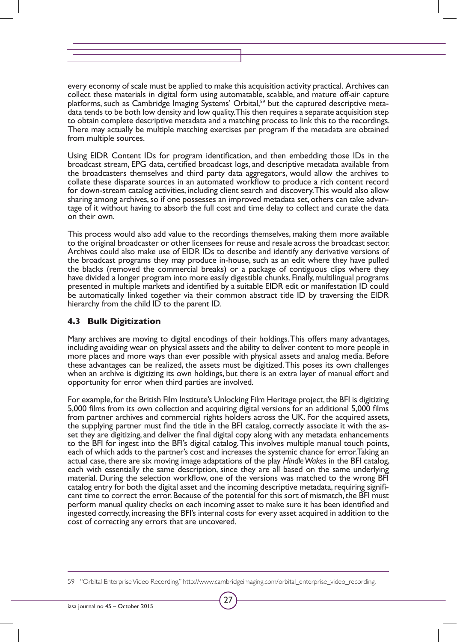every economy of scale must be applied to make this acquisition activity practical. Archives can collect these materials in digital form using automatable, scalable, and mature off-air capture platforms, such as Cambridge Imaging Systems' Orbital,<sup>59</sup> but the captured descriptive metadata tends to be both low density and low quality. This then requires a separate acquisition step to obtain complete descriptive metadata and a matching process to link this to the recordings. There may actually be multiple matching exercises per program if the metadata are obtained from multiple sources.

Using EIDR Content IDs for program identification, and then embedding those IDs in the broadcast stream, EPG data, certified broadcast logs, and descriptive metadata available from the broadcasters themselves and third party data aggregators, would allow the archives to collate these disparate sources in an automated workflow to produce a rich content record for down-stream catalog activities, including client search and discovery. This would also allow sharing among archives, so if one possesses an improved metadata set, others can take advantage of it without having to absorb the full cost and time delay to collect and curate the data on their own.

This process would also add value to the recordings themselves, making them more available to the original broadcaster or other licensees for reuse and resale across the broadcast sector. Archives could also make use of EIDR IDs to describe and identify any derivative versions of the broadcast programs they may produce in-house, such as an edit where they have pulled the blacks (removed the commercial breaks) or a package of contiguous clips where they have divided a longer program into more easily digestible chunks. Finally, multilingual programs presented in multiple markets and identified by a suitable EIDR edit or manifestation ID could be automatically linked together via their common abstract title ID by traversing the EIDR hierarchy from the child ID to the parent ID.

## **4.3 Bulk Digitization**

Many archives are moving to digital encodings of their holdings. This offers many advantages, including avoiding wear on physical assets and the ability to deliver content to more people in more places and more ways than ever possible with physical assets and analog media. Before these advantages can be realized, the assets must be digitized. This poses its own challenges when an archive is digitizing its own holdings, but there is an extra layer of manual effort and opportunity for error when third parties are involved.

For example, for the British Film Institute's Unlocking Film Heritage project, the BFI is digitizing 5,000 films from its own collection and acquiring digital versions for an additional 5,000 films from partner archives and commercial rights holders across the UK. For the acquired assets, the supplying partner must find the title in the BFI catalog, correctly associate it with the asset they are digitizing, and deliver the final digital copy along with any metadata enhancements to the BFI for ingest into the BFI's digital catalog. This involves multiple manual touch points, each of which adds to the partner's cost and increases the systemic chance for error. Taking an actual case, there are six moving image adaptations of the play *Hindle Wakes* in the BFI catalog, each with essentially the same description, since they are all based on the same underlying material. During the selection workflow, one of the versions was matched to the wrong BFI catalog entry for both the digital asset and the incoming descriptive metadata, requiring signifi- cant time to correct the error. Because of the potential for this sort of mismatch, the BFI must perform manual quality checks on each incoming asset to make sure it has been identified and ingested correctly, increasing the BFI's internal costs for every asset acquired in addition to the cost of correcting any errors that are uncovered.

<sup>59</sup> "Orbital EnterpriseVideo Recording," http://www.cambridgeimaging.com/orbital\_enterprise\_video\_recording.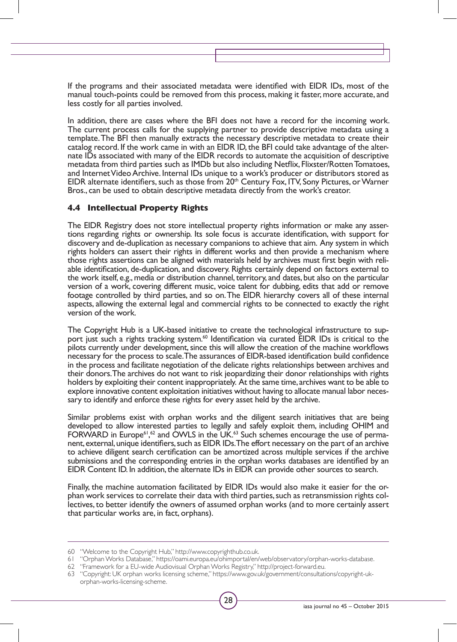If the programs and their associated metadata were identified with EIDR IDs, most of the manual touch-points could be removed from this process, making it faster, more accurate, and less costly for all parties involved.

In addition, there are cases where the BFI does not have a record for the incoming work. The current process calls for the supplying partner to provide descriptive metadata using a template. The BFI then manually extracts the necessary descriptive metadata to create their catalog record. If the work came in with an EIDR ID, the BFI could take advantage of the alternate IDs associated with many of the EIDR records to automate the acquisition of descriptive metadata from third parties such as IMDb but also including Netflix, Flixster/Rotten Tomatoes, and Internet Video Archive. Internal IDs unique to a work's producer or distributors stored as EIDR alternate identifiers, such as those from 20th Century Fox, ITV, Sony Pictures, or Warner Bros., can be used to obtain descriptive metadata directly from the work's creator.

## **4.4 Intellectual Property Rights**

The EIDR Registry does not store intellectual property rights information or make any assertions regarding rights or ownership. Its sole focus is accurate identification, with support for discovery and de-duplication as necessary companions to achieve that aim. Any system in which rights holders can assert their rights in different works and then provide a mechanism where those rights assertions can be aligned with materials held by archives must first begin with reliable identification, de-duplication, and discovery. Rights certainly depend on factors external to the work itself, e.g., media or distribution channel, territory, and dates, but also on the particular version of a work, covering different music, voice talent for dubbing, edits that add or remove footage controlled by third parties, and so on. The EIDR hierarchy covers all of these internal aspects, allowing the external legal and commercial rights to be connected to exactly the right version of the work.

The Copyright Hub is a UK-based initiative to create the technological infrastructure to support just such a rights tracking system.<sup>60</sup> Identification via curated EIDR IDs is critical to the pilots currently under development, since this will allow the creation of the machine workflows necessary for the process to scale. The assurances of EIDR-based identification build confidence in the process and facilitate negotiation of the delicate rights relationships between archives and their donors. The archives do not want to risk jeopardizing their donor relationships with rights holders by exploiting their content inappropriately. At the same time, archives want to be able to explore innovative content exploitation initiatives without having to allocate manual labor necessary to identify and enforce these rights for every asset held by the archive.

Similar problems exist with orphan works and the diligent search initiatives that are being developed to allow interested parties to legally and safely exploit them, including OHIM and FORWARD in Europe<sup>61</sup>,<sup>62</sup> and OWLS in the UK.<sup>63</sup> Such schemes encourage the use of permanent, external, unique identifiers, such as EIDR IDs. The effort necessary on the part of an archive to achieve diligent search certification can be amortized across multiple services if the archive submissions and the corresponding entries in the orphan works databases are identified by an EIDR Content ID. In addition, the alternate IDs in EIDR can provide other sources to search.

Finally, the machine automation facilitated by EIDR IDs would also make it easier for the or-<br>phan work services to correlate their data with third parties, such as retransmission rights col-<br>lectives, to better identify t that particular works are, in fact, orphans).

61 "Orphan Works Database," https://oami.europa.eu/ohimportal/en/web/observatory/orphan-works-database.

<sup>60</sup> "Welcome to the Copyright Hub," http://www.copyrighthub.co.uk.

<sup>62</sup> "Framework for a EU-wide Audiovisual Orphan Works Registry," http://project-forward.eu.

<sup>63</sup> "Copyright: UK orphan works licensing scheme," https://www.gov.uk/government/consultations/copyright-ukorphan-works-licensing-scheme.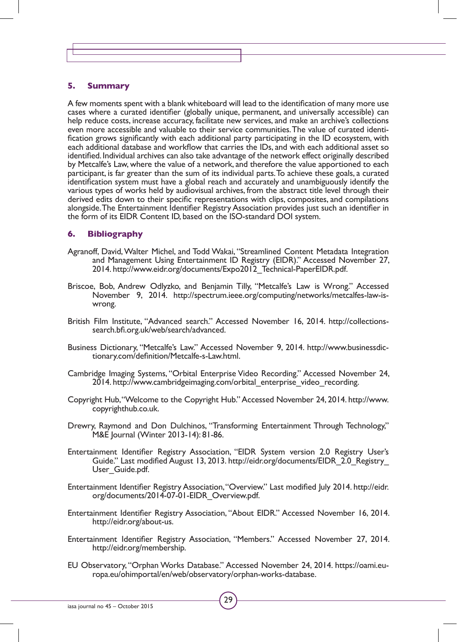#### **5. Summary**

A few moments spent with a blank whiteboard will lead to the identification of many more use cases where a curated identifier (globally unique, permanent, and universally accessible) can help reduce costs, increase accuracy, facilitate new services, and make an archive's collections even more accessible and valuable to their service communities. The value of curated identification grows significantly with each additional party participating in the ID ecosystem, with each additional database and workflow that carries the IDs, and with each additional asset so identified. Individual archives can also take advantage of the network effect originally described by Metcalfe's Law, where the value of a network, and therefore the value apportioned to each participant, is far greater than the sum of its individual parts. To achieve these goals, a curated identification system must have a global reach and accurately and unambiguously identify the various types of works held by audiovisual archives, from the abstract title level through their derived edits down to their specific representations with clips, composites, and compilations alongside. The Entertainment Identifier Registry Association provides just such an identifier in the form of its EIDR Content ID, based on the ISO-standard DOI system.

#### **6. Bibliography**

- Agranoff, David, Walter Michel, and Todd Wakai, "Streamlined Content Metadata Integration and Management Using Entertainment ID Registry (EIDR)." Accessed November 27, 2014. http://www.eidr.org/documents/Expo2012\_Technical-PaperEIDR.pdf.
- Briscoe, Bob, Andrew Odlyzko, and Benjamin Tilly, "Metcalfe's Law is Wrong." Accessed November 9, 2014. http://spectrum.ieee.org/computing/networks/metcalfes-law-iswrong.
- British Film Institute, "Advanced search." Accessed November 16, 2014. http://collectionssearch.bfi.org.uk/web/search/advanced.
- Business Dictionary, "Metcalfe's Law." Accessed November 9, 2014. http://www.businessdictionary.com/definition/Metcalfe-s-Law.html.
- Cambridge Imaging Systems, "Orbital Enterprise Video Recording." Accessed November 24, 2014. http://www.cambridgeimaging.com/orbital\_enterprise\_video\_recording.
- Copyright Hub, "Welcome to the Copyright Hub." Accessed November 24, 2014. http://www. copyrighthub.co.uk.
- Drewry, Raymond and Don Dulchinos, "Transforming Entertainment Through Technology," M&E Journal (Winter 2013-14): 81-86.
- Entertainment Identifier Registry Association, "EIDR System version 2.0 Registry User's Guide." Last modified August 13, 2013. http://eidr.org/documents/EIDR\_2.0\_Registry User Guide.pdf.
- Entertainment Identifier Registry Association, "Overview." Last modified July 2014. http://eidr. org/documents/2014-07-01-EIDR\_Overview.pdf.
- Entertainment Identifier Registry Association, "About EIDR." Accessed November 16, 2014. http://eidr.org/about-us.
- Entertainment Identifier Registry Association, "Members." Accessed November 27, 2014. http://eidr.org/membership.
- EU Observatory, "Orphan Works Database." Accessed November 24, 2014. https://oami.europa.eu/ohimportal/en/web/observatory/orphan-works-database.